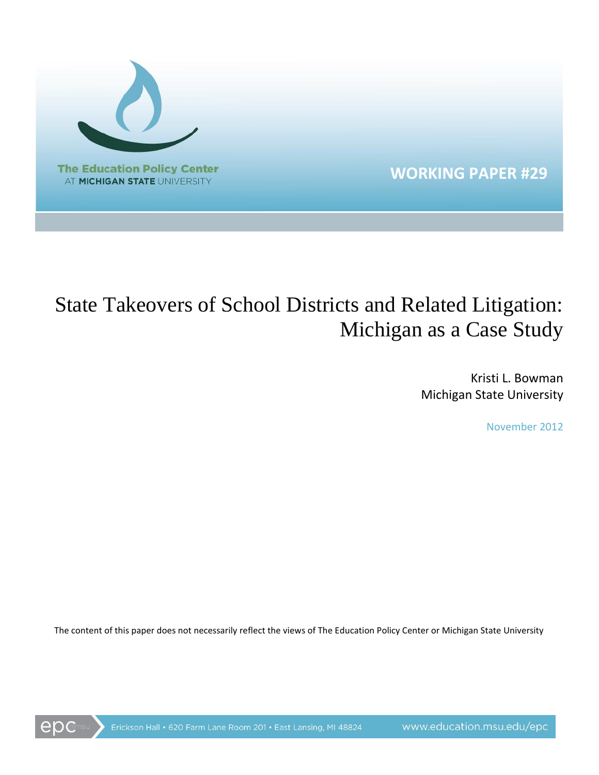

# State Takeovers of School Districts and Related Litigation: Michigan as a Case Study

Kristi L. Bowman Michigan State University

November 2012

The content of this paper does not necessarily reflect the views of The Education Policy Center or Michigan State University

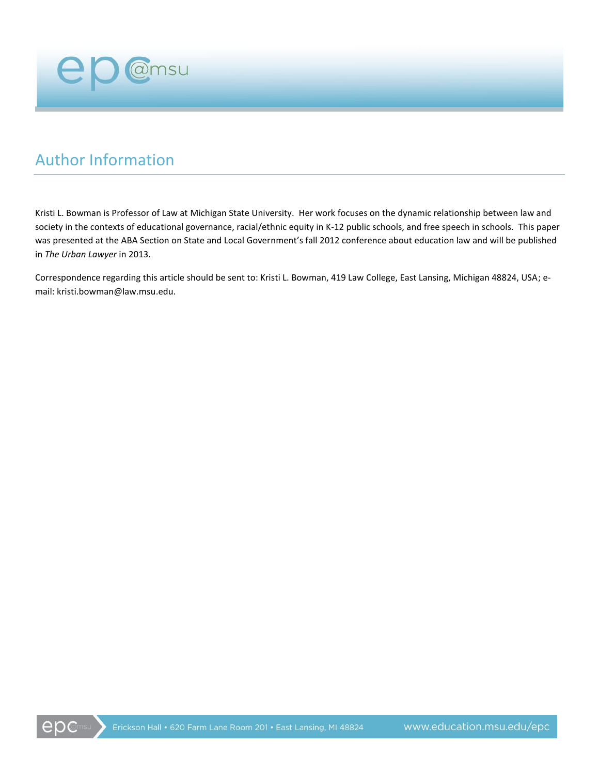

## Author Information

Kristi L. Bowman is Professor of Law at Michigan State University. Her work focuses on the dynamic relationship between law and society in the contexts of educational governance, racial/ethnic equity in K-12 public schools, and free speech in schools. This paper was presented at the ABA Section on State and Local Government's fall 2012 conference about education law and will be published in *The Urban Lawyer* in 2013.

Correspondence regarding this article should be sent to: Kristi L. Bowman, 419 Law College, East Lansing, Michigan 48824, USA; email: kristi.bowman@law.msu.edu.

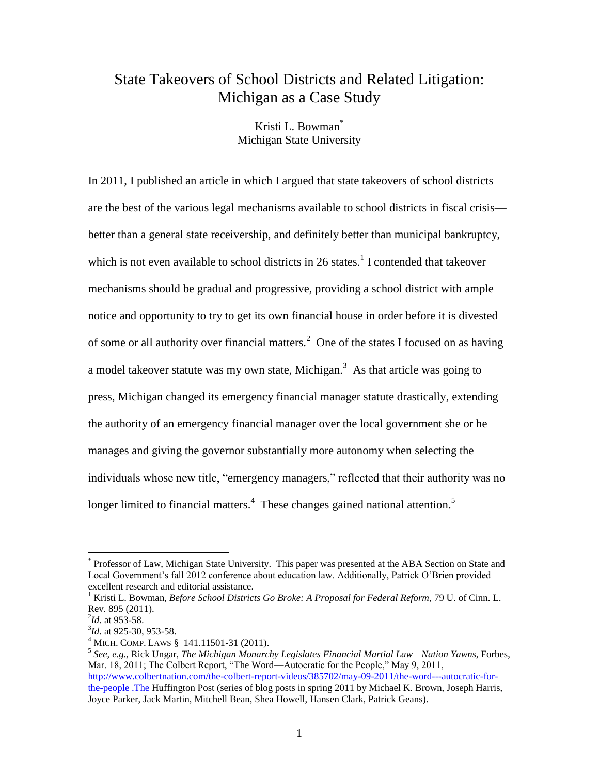### State Takeovers of School Districts and Related Litigation: Michigan as a Case Study

Kristi L. Bowman\* Michigan State University

In 2011, I published an article in which I argued that state takeovers of school districts are the best of the various legal mechanisms available to school districts in fiscal crisis better than a general state receivership, and definitely better than municipal bankruptcy, which is not even available to school districts in 26 states.<sup>1</sup> I contended that takeover mechanisms should be gradual and progressive, providing a school district with ample notice and opportunity to try to get its own financial house in order before it is divested of some or all authority over financial matters.<sup>2</sup> One of the states I focused on as having a model takeover statute was my own state, Michigan.<sup>3</sup> As that article was going to press, Michigan changed its emergency financial manager statute drastically, extending the authority of an emergency financial manager over the local government she or he manages and giving the governor substantially more autonomy when selecting the individuals whose new title, "emergency managers," reflected that their authority was no longer limited to financial matters.<sup>4</sup> These changes gained national attention.<sup>5</sup>

<sup>\*</sup> Professor of Law, Michigan State University. This paper was presented at the ABA Section on State and Local Government's fall 2012 conference about education law. Additionally, Patrick O'Brien provided excellent research and editorial assistance.

<sup>1</sup> Kristi L. Bowman, *Before School Districts Go Broke: A Proposal for Federal Reform*, 79 U. of Cinn. L. Rev. 895 (2011).

<sup>2</sup> *Id.* at 953-58.

<sup>3</sup> *Id.* at 925-30, 953-58.

<sup>4</sup> MICH. COMP. LAWS § 141.11501-31 (2011).

<sup>5</sup> *See, e.g.,* Rick Ungar, *The Michigan Monarchy Legislates Financial Martial Law—Nation Yawns*, Forbes, Mar. 18, 2011; The Colbert Report, "The Word—Autocratic for the People," May 9, 2011, [http://www.colbertnation.com/the-colbert-report-videos/385702/may-09-2011/the-word---autocratic-for](http://www.colbertnation.com/the-colbert-report-videos/385702/may-09-2011/the-word---autocratic-for-the-people%20.The)[the-people .The](http://www.colbertnation.com/the-colbert-report-videos/385702/may-09-2011/the-word---autocratic-for-the-people%20.The) Huffington Post (series of blog posts in spring 2011 by Michael K. Brown, Joseph Harris, Joyce Parker, Jack Martin, Mitchell Bean, Shea Howell, Hansen Clark, Patrick Geans).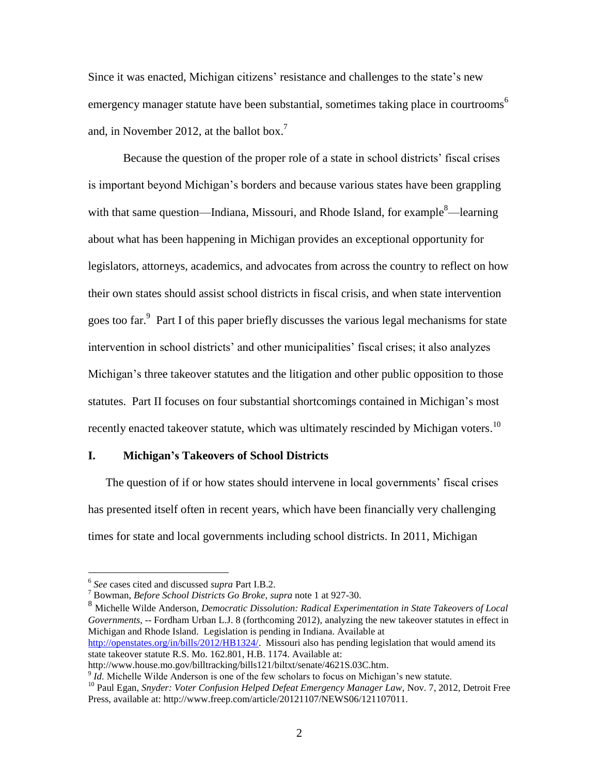Since it was enacted, Michigan citizens' resistance and challenges to the state's new emergency manager statute have been substantial, sometimes taking place in courtrooms<sup>6</sup> and, in November 2012, at the ballot box.<sup>7</sup>

Because the question of the proper role of a state in school districts' fiscal crises is important beyond Michigan's borders and because various states have been grappling with that same question—Indiana, Missouri, and Rhode Island, for example  $\delta$ —learning about what has been happening in Michigan provides an exceptional opportunity for legislators, attorneys, academics, and advocates from across the country to reflect on how their own states should assist school districts in fiscal crisis, and when state intervention goes too far.<sup>9</sup> Part I of this paper briefly discusses the various legal mechanisms for state intervention in school districts' and other municipalities' fiscal crises; it also analyzes Michigan's three takeover statutes and the litigation and other public opposition to those statutes. Part II focuses on four substantial shortcomings contained in Michigan's most recently enacted takeover statute, which was ultimately rescinded by Michigan voters.<sup>10</sup>

#### **I. Michigan's Takeovers of School Districts**

The question of if or how states should intervene in local governments' fiscal crises has presented itself often in recent years, which have been financially very challenging times for state and local governments including school districts. In 2011, Michigan

 6 *See* cases cited and discussed *supra* Part I.B.2.

<sup>7</sup> Bowman, *Before School Districts Go Broke*, *supra* note 1 at 927-30.

<sup>8</sup> Michelle Wilde Anderson, *Democratic Dissolution: Radical Experimentation in State Takeovers of Local Governments*, -- Fordham Urban L.J. 8 (forthcoming 2012), analyzing the new takeover statutes in effect in Michigan and Rhode Island. Legislation is pending in Indiana. Available at [http://openstates.org/in/bills/2012/HB1324/.](http://openstates.org/in/bills/2012/HB1324/) Missouri also has pending legislation that would amend its state takeover statute R.S. Mo. 162.801, H.B. 1174. Available at:

http://www.house.mo.gov/billtracking/bills121/biltxt/senate/4621S.03C.htm.  $\overline{9}$  *Id.* Michelle Wilde Anderson is one of the few scholars to focus on Michigan's new statute.

<sup>10</sup> Paul Egan, *Snyder: Voter Confusion Helped Defeat Emergency Manager Law*, Nov. 7, 2012, Detroit Free Press, available at: http://www.freep.com/article/20121107/NEWS06/121107011.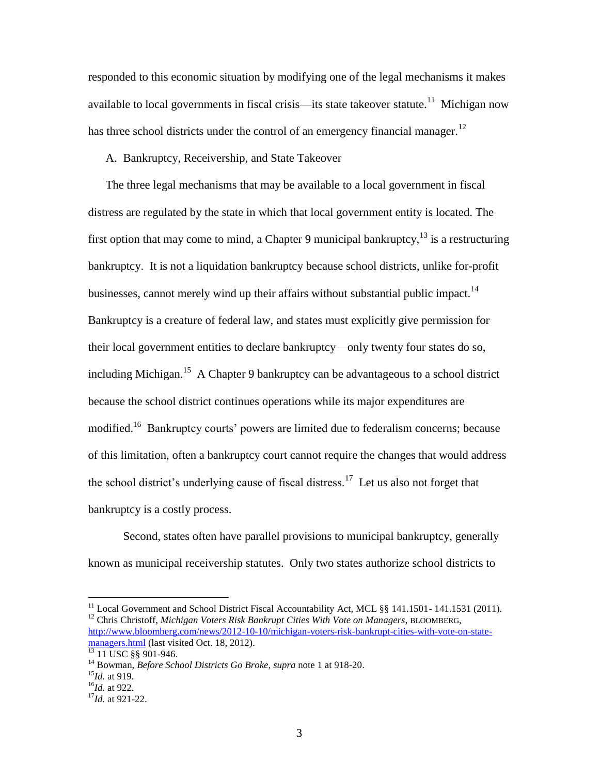responded to this economic situation by modifying one of the legal mechanisms it makes available to local governments in fiscal crisis—its state takeover statute.<sup>11</sup> Michigan now has three school districts under the control of an emergency financial manager.<sup>12</sup>

A. Bankruptcy, Receivership, and State Takeover

The three legal mechanisms that may be available to a local government in fiscal distress are regulated by the state in which that local government entity is located. The first option that may come to mind, a Chapter 9 municipal bankruptcy,  $^{13}$  is a restructuring bankruptcy. It is not a liquidation bankruptcy because school districts, unlike for-profit businesses, cannot merely wind up their affairs without substantial public impact.<sup>14</sup> Bankruptcy is a creature of federal law, and states must explicitly give permission for their local government entities to declare bankruptcy—only twenty four states do so, including Michigan.<sup>15</sup> A Chapter 9 bankruptcy can be advantageous to a school district because the school district continues operations while its major expenditures are modified.<sup>16</sup> Bankruptcy courts' powers are limited due to federalism concerns; because of this limitation, often a bankruptcy court cannot require the changes that would address the school district's underlying cause of fiscal distress.<sup>17</sup> Let us also not forget that bankruptcy is a costly process.

Second, states often have parallel provisions to municipal bankruptcy, generally known as municipal receivership statutes. Only two states authorize school districts to

<sup>11</sup> Local Government and School District Fiscal Accountability Act, MCL §§ 141.1501-141.1531 (2011). <sup>12</sup> Chris Christoff, *Michigan Voters Risk Bankrupt Cities With Vote on Managers*, BLOOMBERG, [http://www.bloomberg.com/news/2012-10-10/michigan-voters-risk-bankrupt-cities-with-vote-on-state](http://www.bloomberg.com/news/2012-10-10/michigan-voters-risk-bankrupt-cities-with-vote-on-state-managers.html)[managers.html](http://www.bloomberg.com/news/2012-10-10/michigan-voters-risk-bankrupt-cities-with-vote-on-state-managers.html) (last visited Oct. 18, 2012).

<sup>&</sup>lt;sup>13</sup> 11 USC §§ 901-946.

<sup>14</sup> Bowman, *Before School Districts Go Broke*, *supra* note 1 at 918-20.

<sup>15</sup>*Id.* at 919.

<sup>16</sup>*Id.* at 922.

<sup>17</sup>*Id.* at 921-22.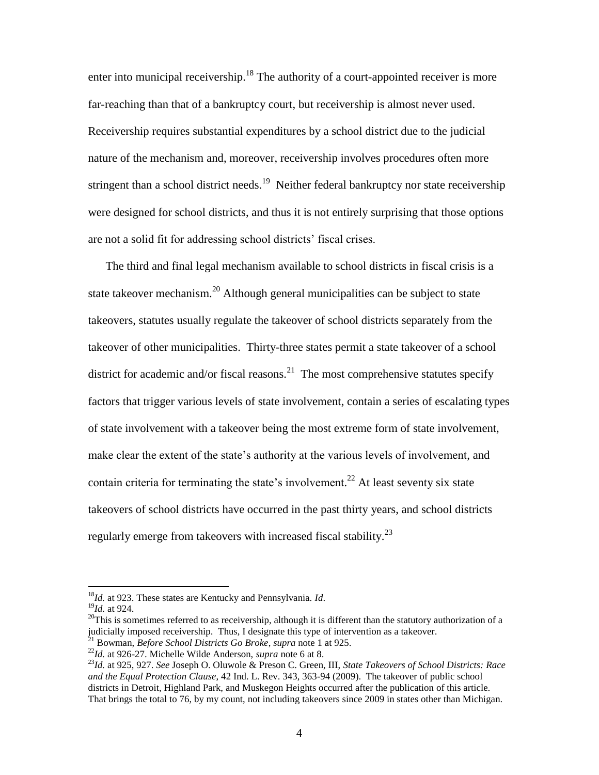enter into municipal receivership.<sup>18</sup> The authority of a court-appointed receiver is more far-reaching than that of a bankruptcy court, but receivership is almost never used. Receivership requires substantial expenditures by a school district due to the judicial nature of the mechanism and, moreover, receivership involves procedures often more stringent than a school district needs.<sup>19</sup> Neither federal bankruptcy nor state receivership were designed for school districts, and thus it is not entirely surprising that those options are not a solid fit for addressing school districts' fiscal crises.

The third and final legal mechanism available to school districts in fiscal crisis is a state takeover mechanism.<sup>20</sup> Although general municipalities can be subject to state takeovers, statutes usually regulate the takeover of school districts separately from the takeover of other municipalities. Thirty-three states permit a state takeover of a school district for academic and/or fiscal reasons.<sup>21</sup> The most comprehensive statutes specify factors that trigger various levels of state involvement, contain a series of escalating types of state involvement with a takeover being the most extreme form of state involvement, make clear the extent of the state's authority at the various levels of involvement, and contain criteria for terminating the state's involvement.<sup>22</sup> At least seventy six state takeovers of school districts have occurred in the past thirty years, and school districts regularly emerge from take overs with increased fiscal stability.<sup>23</sup>

<sup>18</sup>*Id.* at 923. These states are Kentucky and Pennsylvania. *Id*.

<sup>19</sup>*Id.* at 924.

 $^{20}$ This is sometimes referred to as receivership, although it is different than the statutory authorization of a judicially imposed receivership. Thus, I designate this type of intervention as a takeover.

<sup>21</sup> Bowman, *Before School Districts Go Broke*, *supra* note 1 at 925.

<sup>22</sup>*Id.* at 926-27. Michelle Wilde Anderson, *supra* note 6 at 8.

<sup>23</sup>*Id.* at 925, 927. *See* Joseph O. Oluwole & Preson C. Green, III, *State Takeovers of School Districts: Race and the Equal Protection Clause*, 42 Ind. L. Rev. 343, 363-94 (2009). The takeover of public school districts in Detroit, Highland Park, and Muskegon Heights occurred after the publication of this article. That brings the total to 76, by my count, not including takeovers since 2009 in states other than Michigan.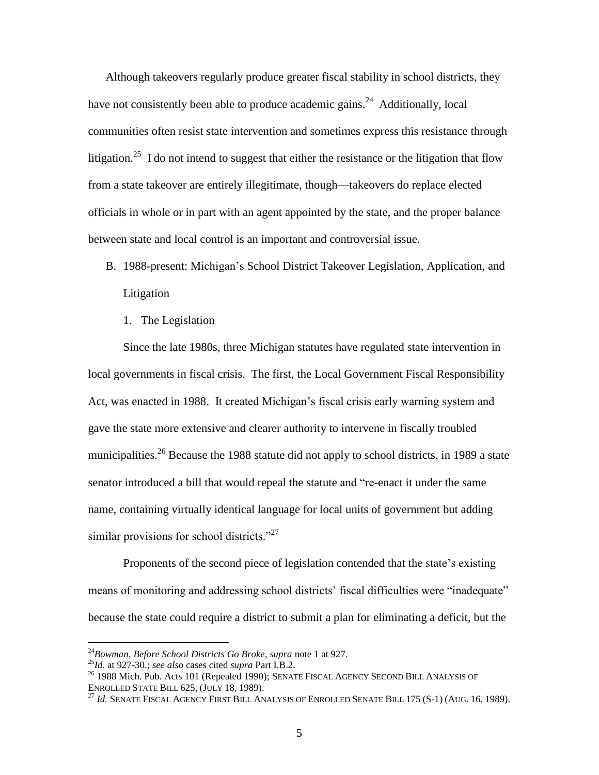Although takeovers regularly produce greater fiscal stability in school districts, they have not consistently been able to produce academic gains.<sup>24</sup> Additionally, local communities often resist state intervention and sometimes express this resistance through litigation.<sup>25</sup> I do not intend to suggest that either the resistance or the litigation that flow from a state takeover are entirely illegitimate, though—takeovers do replace elected officials in whole or in part with an agent appointed by the state, and the proper balance between state and local control is an important and controversial issue.

- B. 1988-present: Michigan's School District Takeover Legislation, Application, and Litigation
	- 1. The Legislation

Since the late 1980s, three Michigan statutes have regulated state intervention in local governments in fiscal crisis. The first, the Local Government Fiscal Responsibility Act, was enacted in 1988. It created Michigan's fiscal crisis early warning system and gave the state more extensive and clearer authority to intervene in fiscally troubled municipalities.<sup>26</sup> Because the 1988 statute did not apply to school districts, in 1989 a state senator introduced a bill that would repeal the statute and "re-enact it under the same name, containing virtually identical language for local units of government but adding similar provisions for school districts." $27$ 

Proponents of the second piece of legislation contended that the state's existing means of monitoring and addressing school districts' fiscal difficulties were "inadequate" because the state could require a district to submit a plan for eliminating a deficit, but the

<sup>24</sup>*Bowman, Before School Districts Go Broke, supra* note 1 at 927.

<sup>25</sup>*Id.* at 927-30.; *see also* cases cited *supra* Part I.B.2.

<sup>&</sup>lt;sup>26</sup> 1988 Mich. Pub. Acts 101 (Repealed 1990); SENATE FISCAL AGENCY SECOND BILL ANALYSIS OF ENROLLED STATE BILL 625, (JULY 18, 1989).

<sup>27</sup> *Id.* SENATE FISCAL AGENCY FIRST BILL ANALYSIS OF ENROLLED SENATE BILL 175 (S-1) (AUG. 16, 1989).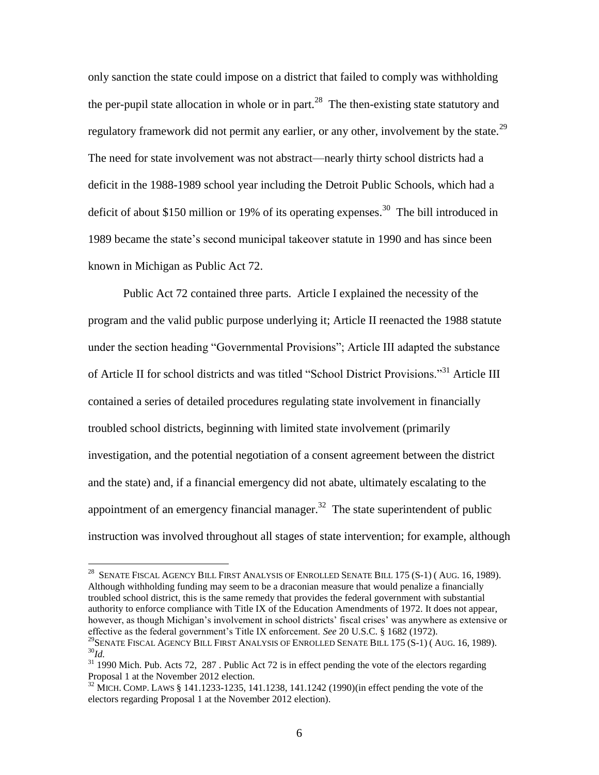only sanction the state could impose on a district that failed to comply was withholding the per-pupil state allocation in whole or in part.<sup>28</sup> The then-existing state statutory and regulatory framework did not permit any earlier, or any other, involvement by the state.<sup>29</sup> The need for state involvement was not abstract—nearly thirty school districts had a deficit in the 1988-1989 school year including the Detroit Public Schools, which had a deficit of about \$150 million or 19% of its operating expenses.<sup>30</sup> The bill introduced in 1989 became the state's second municipal takeover statute in 1990 and has since been known in Michigan as Public Act 72.

Public Act 72 contained three parts. Article I explained the necessity of the program and the valid public purpose underlying it; Article II reenacted the 1988 statute under the section heading "Governmental Provisions"; Article III adapted the substance of Article II for school districts and was titled "School District Provisions."<sup>31</sup> Article III contained a series of detailed procedures regulating state involvement in financially troubled school districts, beginning with limited state involvement (primarily investigation, and the potential negotiation of a consent agreement between the district and the state) and, if a financial emergency did not abate, ultimately escalating to the appointment of an emergency financial manager.<sup>32</sup> The state superintendent of public instruction was involved throughout all stages of state intervention; for example, although

 $^{28}$  Senate Fiscal Agency Bill First Analysis of Enrolled Senate Bill 175 (S-1) ( Aug. 16, 1989). Although withholding funding may seem to be a draconian measure that would penalize a financially troubled school district, this is the same remedy that provides the federal government with substantial authority to enforce compliance with Title IX of the Education Amendments of 1972. It does not appear, however, as though Michigan's involvement in school districts' fiscal crises' was anywhere as extensive or effective as the federal government's Title IX enforcement. *See* 20 U.S.C. § 1682 (1972). <sup>29</sup>SENATE FISCAL AGENCY BILL FIRST ANALYSIS OF ENROLLED SENATE BILL 175 (S-1) ( AUG. 16, 1989). <sup>30</sup>*Id.*

<sup>&</sup>lt;sup>31</sup> 1990 Mich. Pub. Acts 72, 287. Public Act 72 is in effect pending the vote of the electors regarding Proposal 1 at the November 2012 election.

<sup>&</sup>lt;sup>32</sup> MICH. COMP. LAWS § 141.1233-1235, 141.1238, 141.1242 (1990)(in effect pending the vote of the electors regarding Proposal 1 at the November 2012 election).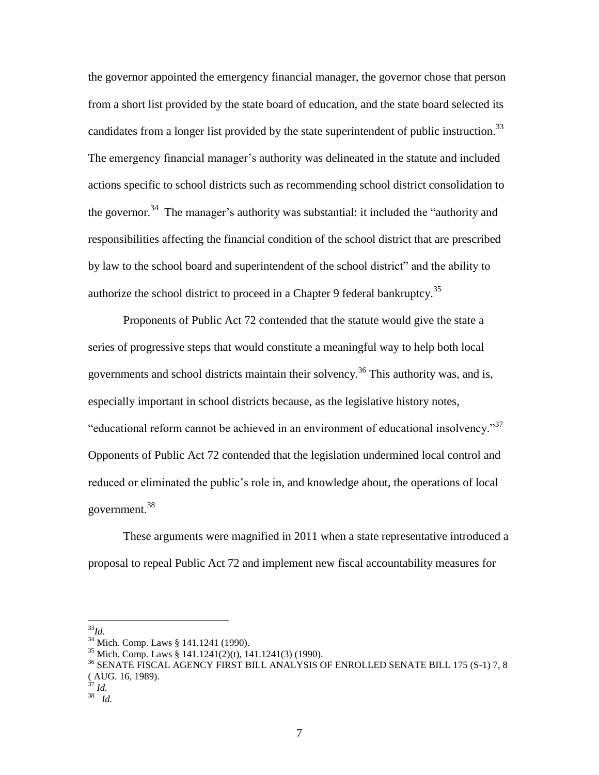the governor appointed the emergency financial manager, the governor chose that person from a short list provided by the state board of education, and the state board selected its candidates from a longer list provided by the state superintendent of public instruction.<sup>33</sup> The emergency financial manager's authority was delineated in the statute and included actions specific to school districts such as recommending school district consolidation to the governor.<sup>34</sup> The manager's authority was substantial: it included the "authority and responsibilities affecting the financial condition of the school district that are prescribed by law to the school board and superintendent of the school district" and the ability to authorize the school district to proceed in a Chapter 9 federal bankruptcy.<sup>35</sup>

Proponents of Public Act 72 contended that the statute would give the state a series of progressive steps that would constitute a meaningful way to help both local governments and school districts maintain their solvency. <sup>36</sup> This authority was, and is, especially important in school districts because, as the legislative history notes, "educational reform cannot be achieved in an environment of educational insolvency."<sup>37</sup> Opponents of Public Act 72 contended that the legislation undermined local control and reduced or eliminated the public's role in, and knowledge about, the operations of local government. 38

These arguments were magnified in 2011 when a state representative introduced a proposal to repeal Public Act 72 and implement new fiscal accountability measures for

 $\overline{a}$ <sup>33</sup>*Id.*

<sup>34</sup> Mich. Comp. Laws § 141.1241 (1990).

<sup>&</sup>lt;sup>35</sup> Mich. Comp. Laws § 141.1241(2)(t), 141.1241(3) (1990).

<sup>36</sup> SENATE FISCAL AGENCY FIRST BILL ANALYSIS OF ENROLLED SENATE BILL 175 (S-1) 7, 8 ( AUG. 16, 1989).

<sup>37</sup> *Id.*

<sup>38</sup> *Id.*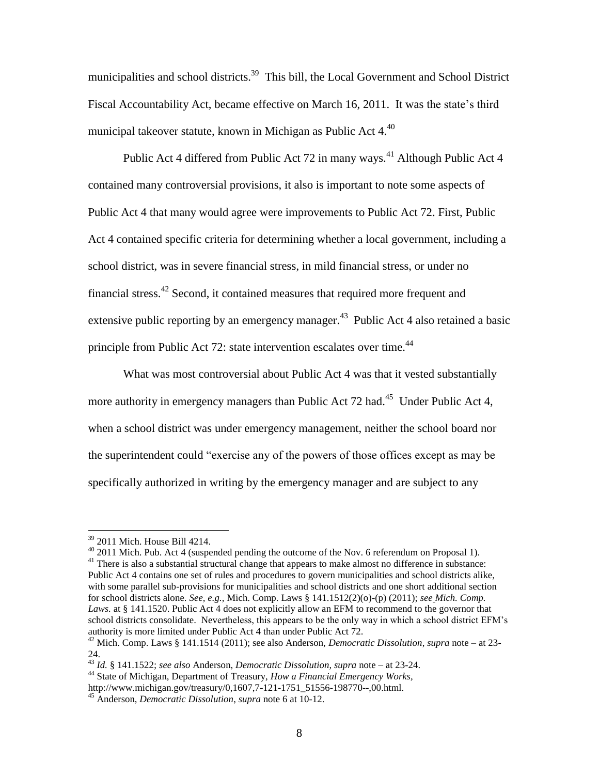municipalities and school districts.<sup>39</sup> This bill, the Local Government and School District Fiscal Accountability Act, became effective on March 16, 2011. It was the state's third municipal takeover statute, known in Michigan as Public Act  $4.40<sup>40</sup>$ 

Public Act 4 differed from Public Act 72 in many ways.<sup>41</sup> Although Public Act 4 contained many controversial provisions, it also is important to note some aspects of Public Act 4 that many would agree were improvements to Public Act 72. First, Public Act 4 contained specific criteria for determining whether a local government, including a school district, was in severe financial stress, in mild financial stress, or under no financial stress.<sup>42</sup> Second, it contained measures that required more frequent and extensive public reporting by an emergency manager.<sup>43</sup> Public Act 4 also retained a basic principle from Public Act 72: state intervention escalates over time.<sup>44</sup>

What was most controversial about Public Act 4 was that it vested substantially more authority in emergency managers than Public Act 72 had.<sup>45</sup> Under Public Act 4, when a school district was under emergency management, neither the school board nor the superintendent could "exercise any of the powers of those offices except as may be specifically authorized in writing by the emergency manager and are subject to any

<sup>39</sup> 2011 Mich. House Bill 4214.

 $^{40}$  2011 Mich. Pub. Act 4 (suspended pending the outcome of the Nov. 6 referendum on Proposal 1). <sup>41</sup> There is also a substantial structural change that appears to make almost no difference in substance: Public Act 4 contains one set of rules and procedures to govern municipalities and school districts alike, with some parallel sub-provisions for municipalities and school districts and one short additional section for school districts alone. *See, e.g.,* Mich. Comp. Laws § 141.1512(2)(o)-(p) (2011); *see Mich. Comp.*  Laws. at § 141.1520. Public Act 4 does not explicitly allow an EFM to recommend to the governor that school districts consolidate. Nevertheless, this appears to be the only way in which a school district EFM's authority is more limited under Public Act 4 than under Public Act 72.

<sup>42</sup> Mich. Comp. Laws § 141.1514 (2011); see also Anderson, *Democratic Dissolution*, *supra* note – at 23- 24.

<sup>43</sup> *Id.* § 141.1522; *see also* Anderson, *Democratic Dissolution, supra* note – at 23-24.

<sup>44</sup> State of Michigan, Department of Treasury, *How a Financial Emergency Works,*  http://www.michigan.gov/treasury/0,1607,7-121-1751\_51556-198770--,00.html.

<sup>45</sup> Anderson, *Democratic Dissolution*, *supra* note 6 at 10-12.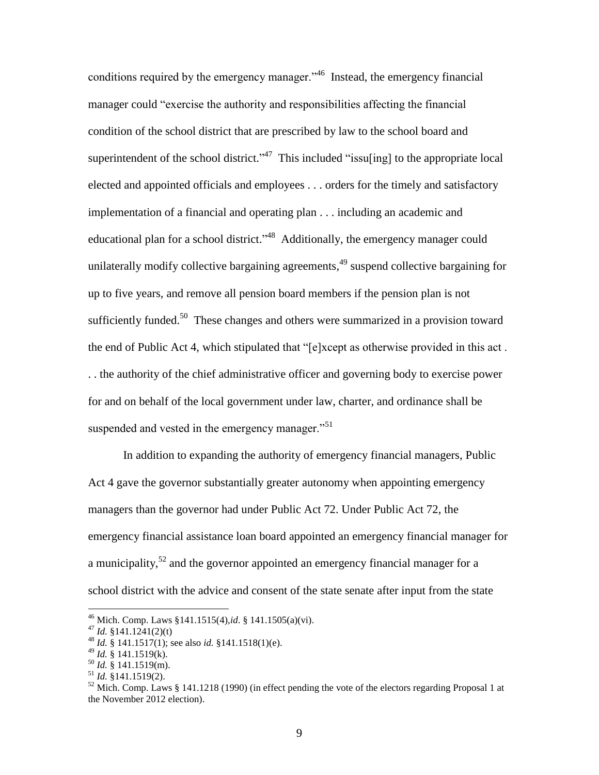conditions required by the emergency manager."<sup>46</sup> Instead, the emergency financial manager could "exercise the authority and responsibilities affecting the financial condition of the school district that are prescribed by law to the school board and superintendent of the school district."<sup>47</sup> This included "issuling] to the appropriate local elected and appointed officials and employees . . . orders for the timely and satisfactory implementation of a financial and operating plan . . . including an academic and educational plan for a school district."<sup>48</sup> Additionally, the emergency manager could unilaterally modify collective bargaining agreements, <sup>49</sup> suspend collective bargaining for up to five years, and remove all pension board members if the pension plan is not sufficiently funded.<sup>50</sup> These changes and others were summarized in a provision toward the end of Public Act 4, which stipulated that "[e]xcept as otherwise provided in this act . . . the authority of the chief administrative officer and governing body to exercise power for and on behalf of the local government under law, charter, and ordinance shall be suspended and vested in the emergency manager.<sup>51</sup>

In addition to expanding the authority of emergency financial managers, Public Act 4 gave the governor substantially greater autonomy when appointing emergency managers than the governor had under Public Act 72. Under Public Act 72, the emergency financial assistance loan board appointed an emergency financial manager for a municipality, $5^2$  and the governor appointed an emergency financial manager for a school district with the advice and consent of the state senate after input from the state

<sup>46</sup> Mich. Comp. Laws §141.1515(4),*id*. § 141.1505(a)(vi).

 $^{47}$  *Id.* §141.1241(2)(t)

<sup>48</sup> *Id.* § 141.1517(1); see also *id.* §141.1518(1)(e).

<sup>49</sup> *Id.* § 141.1519(k).

<sup>50</sup> *Id.* § 141.1519(m).

<sup>51</sup> *Id.* §141.1519(2).

 $52$  Mich. Comp. Laws § 141.1218 (1990) (in effect pending the vote of the electors regarding Proposal 1 at the November 2012 election).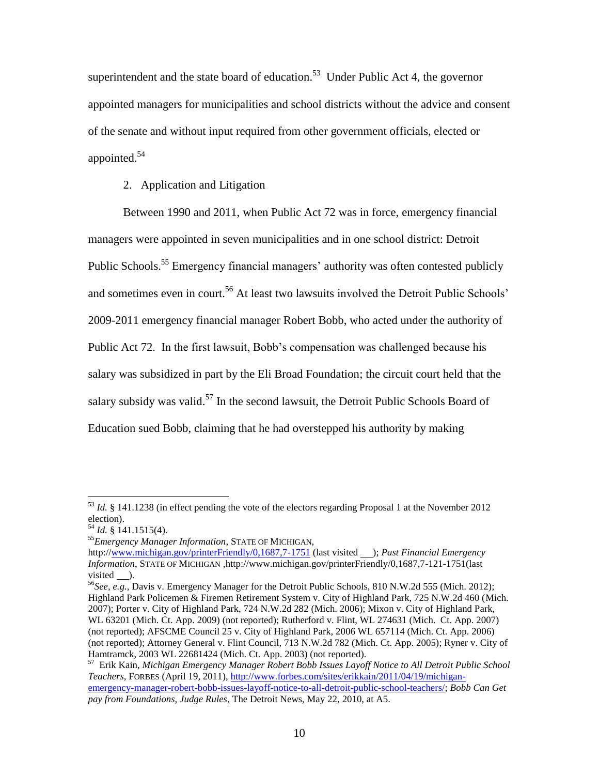superintendent and the state board of education.<sup>53</sup> Under Public Act 4, the governor appointed managers for municipalities and school districts without the advice and consent of the senate and without input required from other government officials, elected or appointed. 54

#### 2. Application and Litigation

Between 1990 and 2011, when Public Act 72 was in force, emergency financial managers were appointed in seven municipalities and in one school district: Detroit Public Schools.<sup>55</sup> Emergency financial managers' authority was often contested publicly and sometimes even in court.<sup>56</sup> At least two lawsuits involved the Detroit Public Schools' 2009-2011 emergency financial manager Robert Bobb, who acted under the authority of Public Act 72. In the first lawsuit, Bobb's compensation was challenged because his salary was subsidized in part by the Eli Broad Foundation; the circuit court held that the salary subsidy was valid.<sup>57</sup> In the second lawsuit, the Detroit Public Schools Board of Education sued Bobb, claiming that he had overstepped his authority by making

<sup>53</sup> *Id.* § 141.1238 (in effect pending the vote of the electors regarding Proposal 1 at the November 2012 election).

<sup>54</sup> *Id.* § 141.1515(4).

<sup>55</sup>*Emergency Manager Information*, STATE OF MICHIGAN,

http:/[/www.michigan.gov/printerFriendly/0,1687,7-1751](http://www.michigan.gov/printerFriendly/0,1687,7-1751) (last visited \_\_); *Past Financial Emergency Information*, STATE OF MICHIGAN ,http://www.michigan.gov/printerFriendly/0,1687,7-121-1751(last visited  $\_\$ .

<sup>56</sup>*See, e.g.*, Davis v. Emergency Manager for the Detroit Public Schools, 810 N.W.2d 555 (Mich. 2012); Highland Park Policemen & Firemen Retirement System v. City of Highland Park, 725 N.W.2d 460 (Mich. 2007); Porter v. City of Highland Park, 724 N.W.2d 282 (Mich. 2006); Mixon v. City of Highland Park, WL 63201 (Mich. Ct. App. 2009) (not reported); Rutherford v. Flint, WL 274631 (Mich. Ct. App. 2007) (not reported); AFSCME Council 25 v. City of Highland Park, 2006 WL 657114 (Mich. Ct. App. 2006) (not reported); Attorney General v. Flint Council, 713 N.W.2d 782 (Mich. Ct. App. 2005); Ryner v. City of Hamtramck, 2003 WL 22681424 (Mich. Ct. App. 2003) (not reported).

<sup>57</sup> Erik Kain, *Michigan Emergency Manager Robert Bobb Issues Layoff Notice to All Detroit Public School Teachers*, FORBES (April 19, 2011), [http://www.forbes.com/sites/erikkain/2011/04/19/michigan](http://www.forbes.com/sites/erikkain/2011/04/19/michigan-emergency-manager-robert-bobb-issues-layoff-notice-to-all-detroit-public-school-teachers/)[emergency-manager-robert-bobb-issues-layoff-notice-to-all-detroit-public-school-teachers/;](http://www.forbes.com/sites/erikkain/2011/04/19/michigan-emergency-manager-robert-bobb-issues-layoff-notice-to-all-detroit-public-school-teachers/) *Bobb Can Get pay from Foundations, Judge Rules*, The Detroit News, May 22, 2010, at A5.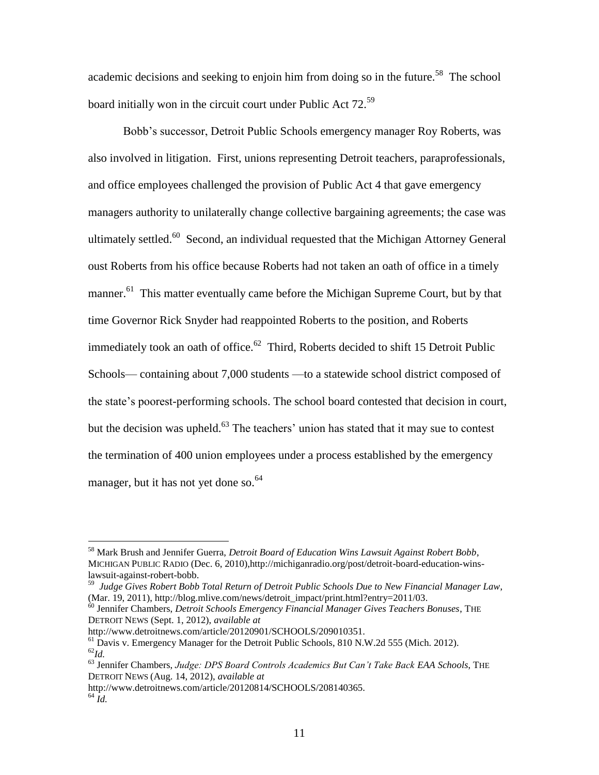academic decisions and seeking to enjoin him from doing so in the future.<sup>58</sup> The school board initially won in the circuit court under Public Act 72.<sup>59</sup>

Bobb's successor, Detroit Public Schools emergency manager Roy Roberts, was also involved in litigation. First, unions representing Detroit teachers, paraprofessionals, and office employees challenged the provision of Public Act 4 that gave emergency managers authority to unilaterally change collective bargaining agreements; the case was ultimately settled.<sup>60</sup> Second, an individual requested that the Michigan Attorney General oust Roberts from his office because Roberts had not taken an oath of office in a timely manner.<sup>61</sup> This matter eventually came before the Michigan Supreme Court, but by that time Governor Rick Snyder had reappointed Roberts to the position, and Roberts immediately took an oath of office. $62$  Third, Roberts decided to shift 15 Detroit Public Schools— containing about 7,000 students —to a statewide school district composed of the state's poorest-performing schools. The school board contested that decision in court, but the decision was upheld.<sup>63</sup> The teachers' union has stated that it may sue to contest the termination of 400 union employees under a process established by the emergency manager, but it has not yet done so.<sup>64</sup>

http://www.detroitnews.com/article/20120901/SCHOOLS/209010351.

<sup>58</sup> Mark Brush and Jennifer Guerra, *Detroit Board of Education Wins Lawsuit Against Robert Bobb*, MICHIGAN PUBLIC RADIO (Dec. 6, 2010),http://michiganradio.org/post/detroit-board-education-winslawsuit-against-robert-bobb.

<sup>59</sup> *Judge Gives Robert Bobb Total Return of Detroit Public Schools Due to New Financial Manager Law*, (Mar. 19, 2011), http://blog.mlive.com/news/detroit\_impact/print.html?entry=2011/03.

<sup>60</sup> Jennifer Chambers, *Detroit Schools Emergency Financial Manager Gives Teachers Bonuses*, THE DETROIT NEWS (Sept. 1, 2012), *available at* 

 $<sup>61</sup>$  Davis v. Emergency Manager for the Detroit Public Schools, 810 N.W.2d 555 (Mich. 2012).</sup> <sup>62</sup>*Id.*

<sup>63</sup> Jennifer Chambers, *Judge: DPS Board Controls Academics But Can't Take Back EAA Schools*, THE DETROIT NEWS (Aug. 14, 2012), *available at*

http://www.detroitnews.com/article/20120814/SCHOOLS/208140365.

 $64 \dot{Id}$ .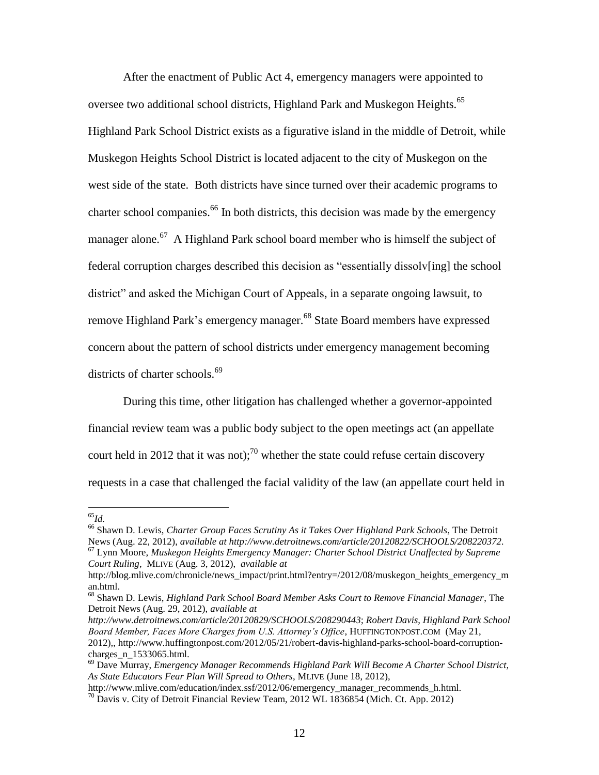After the enactment of Public Act 4, emergency managers were appointed to oversee two additional school districts, Highland Park and Muskegon Heights.<sup>65</sup> Highland Park School District exists as a figurative island in the middle of Detroit, while Muskegon Heights School District is located adjacent to the city of Muskegon on the west side of the state. Both districts have since turned over their academic programs to charter school companies.<sup>66</sup> In both districts, this decision was made by the emergency manager alone.<sup>67</sup> A Highland Park school board member who is himself the subject of federal corruption charges described this decision as "essentially dissolv[ing] the school district" and asked the Michigan Court of Appeals, in a separate ongoing lawsuit, to remove Highland Park's emergency manager.<sup>68</sup> State Board members have expressed concern about the pattern of school districts under emergency management becoming districts of charter schools.<sup>69</sup>

During this time, other litigation has challenged whether a governor-appointed financial review team was a public body subject to the open meetings act (an appellate court held in 2012 that it was not);<sup>70</sup> whether the state could refuse certain discovery requests in a case that challenged the facial validity of the law (an appellate court held in

 $\overline{a}$ <sup>65</sup>*Id.*

<sup>66</sup> Shawn D. Lewis, *Charter Group Faces Scrutiny As it Takes Over Highland Park Schools*, The Detroit News (Aug. 22, 2012), *available at http://www.detroitnews.com/article/20120822/SCHOOLS/208220372.*

<sup>67</sup> Lynn Moore, *Muskegon Heights Emergency Manager: Charter School District Unaffected by Supreme Court Ruling*, MLIVE (Aug. 3, 2012), *available at* 

http://blog.mlive.com/chronicle/news\_impact/print.html?entry=/2012/08/muskegon\_heights\_emergency\_m an.html.

<sup>68</sup> Shawn D. Lewis, *Highland Park School Board Member Asks Court to Remove Financial Manager*, The Detroit News (Aug. 29, 2012), *available at* 

*http://www.detroitnews.com/article/20120829/SCHOOLS/208290443*; *Robert Davis, Highland Park School Board Member, Faces More Charges from U.S. Attorney's Office*, HUFFINGTONPOST.COM (May 21, 2012),, http://www.huffingtonpost.com/2012/05/21/robert-davis-highland-parks-school-board-corruptioncharges n 1533065.html.

<sup>69</sup> Dave Murray, *Emergency Manager Recommends Highland Park Will Become A Charter School District, As State Educators Fear Plan Will Spread to Others*, MLIVE (June 18, 2012),

http://www.mlive.com/education/index.ssf/2012/06/emergency\_manager\_recommends\_h.html.

 $70$  Davis v. City of Detroit Financial Review Team, 2012 WL 1836854 (Mich. Ct. App. 2012)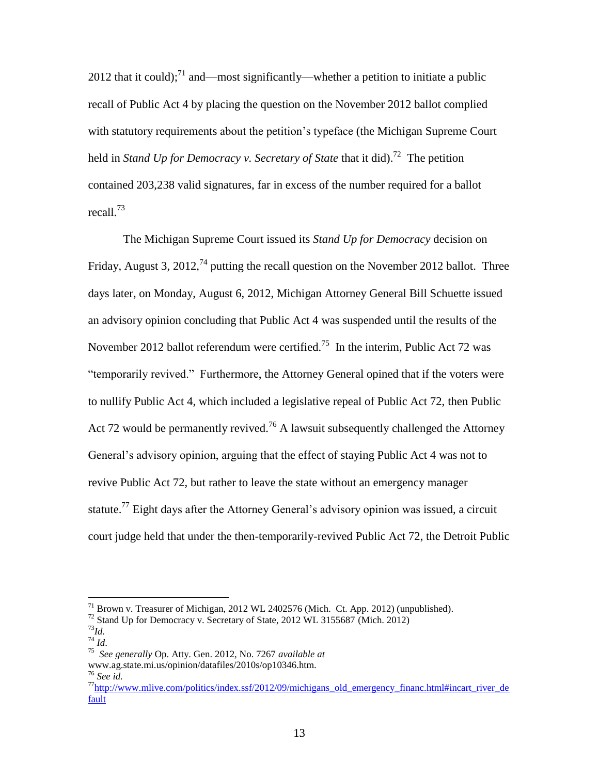2012 that it could);<sup>71</sup> and—most significantly—whether a petition to initiate a public recall of Public Act 4 by placing the question on the November 2012 ballot complied with statutory requirements about the petition's typeface (the Michigan Supreme Court held in *Stand Up for Democracy v. Secretary of State* that it did).<sup>72</sup> The petition contained 203,238 valid signatures, far in excess of the number required for a ballot recall. 73

The Michigan Supreme Court issued its *Stand Up for Democracy* decision on Friday, August 3, 2012,<sup>74</sup> putting the recall question on the November 2012 ballot. Three days later, on Monday, August 6, 2012, Michigan Attorney General Bill Schuette issued an advisory opinion concluding that Public Act 4 was suspended until the results of the November 2012 ballot referendum were certified.<sup>75</sup> In the interim, Public Act 72 was "temporarily revived." Furthermore, the Attorney General opined that if the voters were to nullify Public Act 4, which included a legislative repeal of Public Act 72, then Public Act 72 would be permanently revived.<sup>76</sup> A lawsuit subsequently challenged the Attorney General's advisory opinion, arguing that the effect of staying Public Act 4 was not to revive Public Act 72, but rather to leave the state without an emergency manager statute.<sup>77</sup> Eight days after the Attorney General's advisory opinion was issued, a circuit court judge held that under the then-temporarily-revived Public Act 72, the Detroit Public

 $71$  Brown v. Treasurer of Michigan, 2012 WL 2402576 (Mich. Ct. App. 2012) (unpublished).

<sup>72</sup> Stand Up for Democracy v. Secretary of State, 2012 WL 3155687 (Mich. 2012)

<sup>73</sup>*Id.* <sup>74</sup> *Id*.

<sup>75</sup> *See generally* Op. Atty. Gen. 2012, No. 7267 *available at* 

www.ag.state.mi.us/opinion/datafiles/2010s/op10346.htm. <sup>76</sup> *See id.* 

 $\frac{77}{100}$ [http://www.mlive.com/politics/index.ssf/2012/09/michigans\\_old\\_emergency\\_financ.html#incart\\_river\\_de](http://www.mlive.com/politics/index.ssf/2012/09/michigans_old_emergency_financ.html#incart_river_default) [fault](http://www.mlive.com/politics/index.ssf/2012/09/michigans_old_emergency_financ.html#incart_river_default)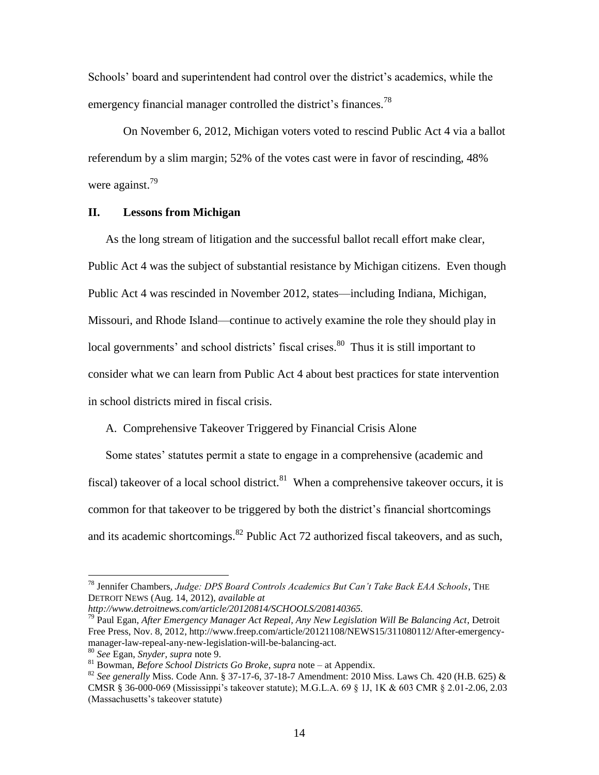Schools' board and superintendent had control over the district's academics, while the emergency financial manager controlled the district's finances.<sup>78</sup>

On November 6, 2012, Michigan voters voted to rescind Public Act 4 via a ballot referendum by a slim margin; 52% of the votes cast were in favor of rescinding, 48% were against.<sup>79</sup>

#### **II. Lessons from Michigan**

As the long stream of litigation and the successful ballot recall effort make clear, Public Act 4 was the subject of substantial resistance by Michigan citizens. Even though Public Act 4 was rescinded in November 2012, states—including Indiana, Michigan, Missouri, and Rhode Island—continue to actively examine the role they should play in local governments' and school districts' fiscal crises.<sup>80</sup> Thus it is still important to consider what we can learn from Public Act 4 about best practices for state intervention in school districts mired in fiscal crisis.

#### A. Comprehensive Takeover Triggered by Financial Crisis Alone

Some states' statutes permit a state to engage in a comprehensive (academic and fiscal) takeover of a local school district.<sup>81</sup> When a comprehensive takeover occurs, it is common for that takeover to be triggered by both the district's financial shortcomings and its academic shortcomings. $^{82}$  Public Act 72 authorized fiscal takeovers, and as such,

<sup>78</sup> Jennifer Chambers, *Judge: DPS Board Controls Academics But Can't Take Back EAA Schools*, THE DETROIT NEWS (Aug. 14, 2012), *available at* 

*http://www.detroitnews.com/article/20120814/SCHOOLS/208140365.*

<sup>79</sup> Paul Egan, *After Emergency Manager Act Repeal, Any New Legislation Will Be Balancing Act*, Detroit Free Press, Nov. 8, 2012, http://www.freep.com/article/20121108/NEWS15/311080112/After-emergencymanager-law-repeal-any-new-legislation-will-be-balancing-act.

<sup>80</sup> *See* Egan, *Snyder*, *supra* note 9.

<sup>81</sup> Bowman, *Before School Districts Go Broke*, *supra* note – at Appendix.

<sup>82</sup> *See generally* Miss. Code Ann. § 37-17-6, 37-18-7 Amendment: 2010 Miss. Laws Ch. 420 (H.B. 625) & CMSR § 36-000-069 (Mississippi's takeover statute); M.G.L.A. 69 § 1J, 1K & 603 CMR § 2.01-2.06, 2.03 (Massachusetts's takeover statute)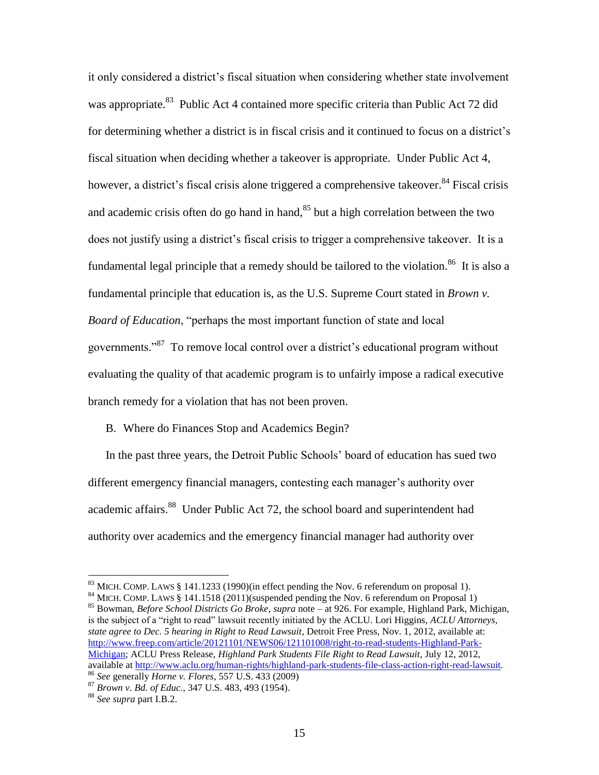it only considered a district's fiscal situation when considering whether state involvement was appropriate.<sup>83</sup> Public Act 4 contained more specific criteria than Public Act 72 did for determining whether a district is in fiscal crisis and it continued to focus on a district's fiscal situation when deciding whether a takeover is appropriate. Under Public Act 4, however, a district's fiscal crisis alone triggered a comprehensive takeover.<sup>84</sup> Fiscal crisis and academic crisis often do go hand in hand, $85$  but a high correlation between the two does not justify using a district's fiscal crisis to trigger a comprehensive takeover. It is a fundamental legal principle that a remedy should be tailored to the violation.<sup>86</sup> It is also a fundamental principle that education is, as the U.S. Supreme Court stated in *Brown v. Board of Education*, "perhaps the most important function of state and local governments."<sup>87</sup> To remove local control over a district's educational program without evaluating the quality of that academic program is to unfairly impose a radical executive branch remedy for a violation that has not been proven.

B. Where do Finances Stop and Academics Begin?

In the past three years, the Detroit Public Schools' board of education has sued two different emergency financial managers, contesting each manager's authority over academic affairs.<sup>88</sup> Under Public Act 72, the school board and superintendent had authority over academics and the emergency financial manager had authority over

<sup>85</sup> Bowman, *Before School Districts Go Broke*, *supra* note – at 926. For example, Highland Park, Michigan, is the subject of a "right to read" lawsuit recently initiated by the ACLU. Lori Higgins, *ACLU Attorneys, state agree to Dec. 5 hearing in Right to Read Lawsuit*, Detroit Free Press, Nov. 1, 2012, available at: [http://www.freep.com/article/20121101/NEWS06/121101008/right-to-read-students-Highland-Park-](http://www.freep.com/article/20121101/NEWS06/121101008/right-to-read-students-Highland-Park-Michigan)[Michigan;](http://www.freep.com/article/20121101/NEWS06/121101008/right-to-read-students-Highland-Park-Michigan) ACLU Press Release, *Highland Park Students File Right to Read Lawsuit*, July 12, 2012, available at [http://www.aclu.org/human-rights/highland-park-students-file-class-action-right-read-lawsuit.](http://www.aclu.org/human-rights/highland-park-students-file-class-action-right-read-lawsuit) <sup>86</sup> *See* generally *Horne v. Flores*, 557 U.S. 433 (2009)

<sup>&</sup>lt;sup>83</sup> MICH. COMP. LAWS § 141.1233 (1990)(in effect pending the Nov. 6 referendum on proposal 1).

<sup>&</sup>lt;sup>84</sup> MICH. COMP. LAWS § 141.1518 (2011)(suspended pending the Nov. 6 referendum on Proposal 1)

<sup>87</sup> *Brown v. Bd. of Educ.*, 347 U.S. 483, 493 (1954).

<sup>88</sup> *See supra* part I.B.2.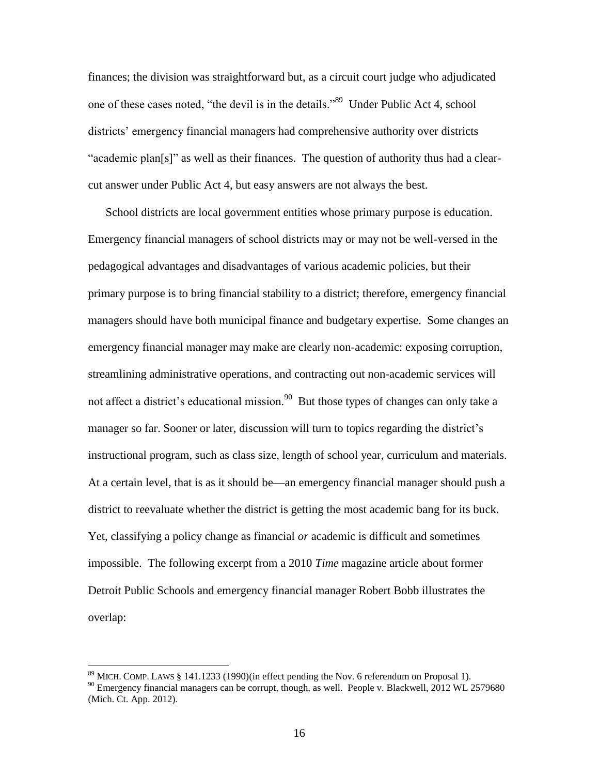finances; the division was straightforward but, as a circuit court judge who adjudicated one of these cases noted, "the devil is in the details."<sup>89</sup> Under Public Act 4, school districts' emergency financial managers had comprehensive authority over districts "academic plan[s]" as well as their finances. The question of authority thus had a clearcut answer under Public Act 4, but easy answers are not always the best.

School districts are local government entities whose primary purpose is education. Emergency financial managers of school districts may or may not be well-versed in the pedagogical advantages and disadvantages of various academic policies, but their primary purpose is to bring financial stability to a district; therefore, emergency financial managers should have both municipal finance and budgetary expertise. Some changes an emergency financial manager may make are clearly non-academic: exposing corruption, streamlining administrative operations, and contracting out non-academic services will not affect a district's educational mission.<sup>90</sup> But those types of changes can only take a manager so far. Sooner or later, discussion will turn to topics regarding the district's instructional program, such as class size, length of school year, curriculum and materials. At a certain level, that is as it should be—an emergency financial manager should push a district to reevaluate whether the district is getting the most academic bang for its buck. Yet, classifying a policy change as financial *or* academic is difficult and sometimes impossible. The following excerpt from a 2010 *Time* magazine article about former Detroit Public Schools and emergency financial manager Robert Bobb illustrates the overlap:

<sup>89</sup> MICH. COMP. LAWS § 141.1233 (1990)(in effect pending the Nov. 6 referendum on Proposal 1).

<sup>&</sup>lt;sup>90</sup> Emergency financial managers can be corrupt, though, as well. People v. Blackwell, 2012 WL 2579680 (Mich. Ct. App. 2012).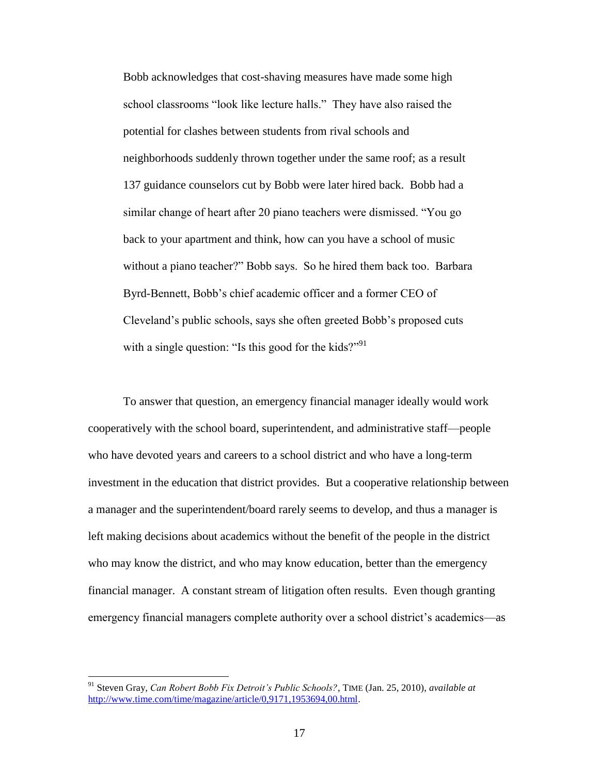Bobb acknowledges that cost-shaving measures have made some high school classrooms "look like lecture halls." They have also raised the potential for clashes between students from rival schools and neighborhoods suddenly thrown together under the same roof; as a result 137 guidance counselors cut by Bobb were later hired back. Bobb had a similar change of heart after 20 piano teachers were dismissed. "You go back to your apartment and think, how can you have a school of music without a piano teacher?" Bobb says. So he hired them back too. Barbara Byrd-Bennett, Bobb's chief academic officer and a former CEO of Cleveland's public schools, says she often greeted Bobb's proposed cuts with a single question: "Is this good for the kids?" $91$ 

To answer that question, an emergency financial manager ideally would work cooperatively with the school board, superintendent, and administrative staff—people who have devoted years and careers to a school district and who have a long-term investment in the education that district provides. But a cooperative relationship between a manager and the superintendent/board rarely seems to develop, and thus a manager is left making decisions about academics without the benefit of the people in the district who may know the district, and who may know education, better than the emergency financial manager. A constant stream of litigation often results. Even though granting emergency financial managers complete authority over a school district's academics—as

<sup>91</sup> Steven Gray, *Can Robert Bobb Fix Detroit's Public Schools?*, TIME (Jan. 25, 2010), *available at*  [http://www.time.com/time/magazine/article/0,9171,1953694,00.html.](http://www.time.com/time/magazine/article/0,9171,1953694,00.html)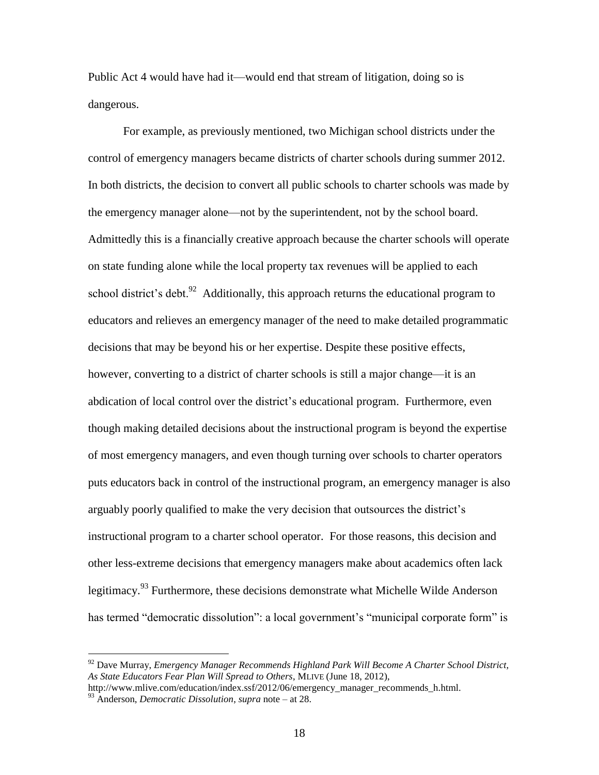Public Act 4 would have had it—would end that stream of litigation, doing so is dangerous.

For example, as previously mentioned, two Michigan school districts under the control of emergency managers became districts of charter schools during summer 2012. In both districts, the decision to convert all public schools to charter schools was made by the emergency manager alone—not by the superintendent, not by the school board. Admittedly this is a financially creative approach because the charter schools will operate on state funding alone while the local property tax revenues will be applied to each school district's debt.  $92$  Additionally, this approach returns the educational program to educators and relieves an emergency manager of the need to make detailed programmatic decisions that may be beyond his or her expertise. Despite these positive effects, however, converting to a district of charter schools is still a major change—it is an abdication of local control over the district's educational program. Furthermore, even though making detailed decisions about the instructional program is beyond the expertise of most emergency managers, and even though turning over schools to charter operators puts educators back in control of the instructional program, an emergency manager is also arguably poorly qualified to make the very decision that outsources the district's instructional program to a charter school operator. For those reasons, this decision and other less-extreme decisions that emergency managers make about academics often lack legitimacy.<sup>93</sup> Furthermore, these decisions demonstrate what Michelle Wilde Anderson has termed "democratic dissolution": a local government's "municipal corporate form" is

<sup>92</sup> Dave Murray, *Emergency Manager Recommends Highland Park Will Become A Charter School District, As State Educators Fear Plan Will Spread to Others*, MLIVE (June 18, 2012),

http://www.mlive.com/education/index.ssf/2012/06/emergency\_manager\_recommends\_h.html.

<sup>93</sup> Anderson, *Democratic Dissolution*, *supra* note – at 28.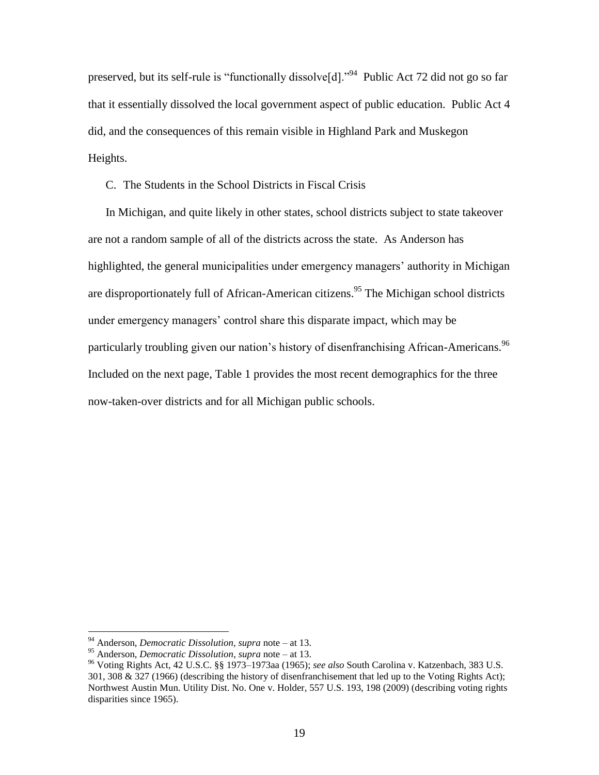preserved, but its self-rule is "functionally dissolve[d]."<sup>94</sup> Public Act 72 did not go so far that it essentially dissolved the local government aspect of public education. Public Act 4 did, and the consequences of this remain visible in Highland Park and Muskegon Heights.

C. The Students in the School Districts in Fiscal Crisis

In Michigan, and quite likely in other states, school districts subject to state takeover are not a random sample of all of the districts across the state. As Anderson has highlighted, the general municipalities under emergency managers' authority in Michigan are disproportionately full of African-American citizens.<sup>95</sup> The Michigan school districts under emergency managers' control share this disparate impact, which may be particularly troubling given our nation's history of disenfranchising African-Americans.<sup>96</sup> Included on the next page, Table 1 provides the most recent demographics for the three now-taken-over districts and for all Michigan public schools.

<sup>94</sup> Anderson, *Democratic Dissolution, supra* note – at 13.

<sup>95</sup> Anderson, *Democratic Dissolution*, *supra* note – at 13.

<sup>96</sup> Voting Rights Act, 42 U.S.C. §§ 1973–1973aa (1965); *see also* South Carolina v. Katzenbach, 383 U.S. 301, 308  $\&$  327 (1966) (describing the history of disenfranchisement that led up to the Voting Rights Act); Northwest Austin Mun. Utility Dist. No. One v. Holder, 557 U.S. 193, 198 (2009) (describing voting rights disparities since 1965).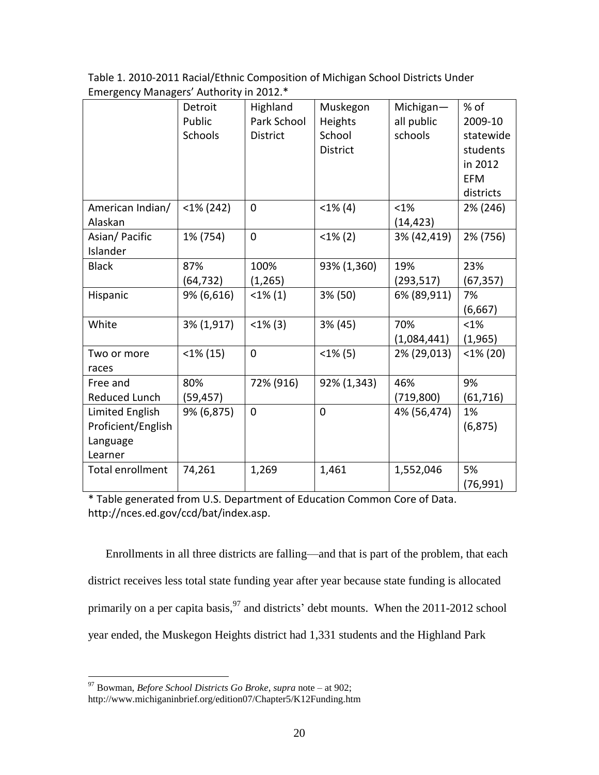| Table 1. 2010-2011 Racial/Ethnic Composition of Michigan School Districts Under |
|---------------------------------------------------------------------------------|
| Emergency Managers' Authority in 2012.*                                         |

|                    | Detroit        | Highland        | Muskegon        | Michigan-   | % of        |
|--------------------|----------------|-----------------|-----------------|-------------|-------------|
|                    | Public         | Park School     | Heights         | all public  | 2009-10     |
|                    | <b>Schools</b> | <b>District</b> | School          | schools     | statewide   |
|                    |                |                 | <b>District</b> |             | students    |
|                    |                |                 |                 |             | in 2012     |
|                    |                |                 |                 |             | <b>EFM</b>  |
|                    |                |                 |                 |             | districts   |
| American Indian/   | $<$ 1% (242)   | $\overline{0}$  | $<1\%$ (4)      | $< 1\%$     | 2% (246)    |
| Alaskan            |                |                 |                 | (14, 423)   |             |
| Asian/Pacific      | 1% (754)       | $\overline{0}$  | $<1\%$ (2)      | 3% (42,419) | 2% (756)    |
| Islander           |                |                 |                 |             |             |
| <b>Black</b>       | 87%            | 100%            | 93% (1,360)     | 19%         | 23%         |
|                    | (64, 732)      | (1,265)         |                 | (293, 517)  | (67, 357)   |
| Hispanic           | 9% (6,616)     | $<1\%$ (1)      | 3% (50)         | 6% (89,911) | 7%          |
|                    |                |                 |                 |             | (6,667)     |
| White              | 3% (1,917)     | $<1\%$ (3)      | 3% (45)         | 70%         | $< 1\%$     |
|                    |                |                 |                 | (1,084,441) | (1,965)     |
| Two or more        | $<$ 1% (15)    | $\mathbf 0$     | $<1\%$ (5)      | 2% (29,013) | $<$ 1% (20) |
| races              |                |                 |                 |             |             |
| Free and           | 80%            | 72% (916)       | 92% (1,343)     | 46%         | 9%          |
| Reduced Lunch      | (59, 457)      |                 |                 | (719, 800)  | (61, 716)   |
| Limited English    | 9% (6,875)     | $\mathbf 0$     | $\overline{0}$  | 4% (56,474) | 1%          |
| Proficient/English |                |                 |                 |             | (6, 875)    |
| Language           |                |                 |                 |             |             |
| Learner            |                |                 |                 |             |             |
| Total enrollment   | 74,261         | 1,269           | 1,461           | 1,552,046   | 5%          |
|                    |                |                 |                 |             | (76, 991)   |

\* Table generated from U.S. Department of Education Common Core of Data. http://nces.ed.gov/ccd/bat/index.asp.

Enrollments in all three districts are falling—and that is part of the problem, that each district receives less total state funding year after year because state funding is allocated primarily on a per capita basis, <sup>97</sup> and districts' debt mounts. When the 2011-2012 school year ended, the Muskegon Heights district had 1,331 students and the Highland Park

<sup>97</sup> Bowman, *Before School Districts Go Broke*, *supra* note – at 902; http://www.michiganinbrief.org/edition07/Chapter5/K12Funding.htm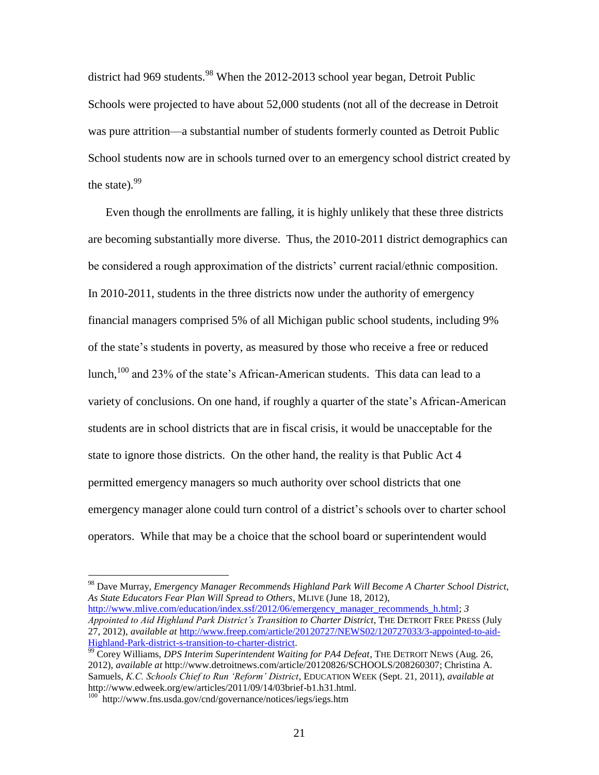district had 969 students.<sup>98</sup> When the 2012-2013 school year began, Detroit Public Schools were projected to have about 52,000 students (not all of the decrease in Detroit was pure attrition—a substantial number of students formerly counted as Detroit Public School students now are in schools turned over to an emergency school district created by the state). $99$ 

Even though the enrollments are falling, it is highly unlikely that these three districts are becoming substantially more diverse. Thus, the 2010-2011 district demographics can be considered a rough approximation of the districts' current racial/ethnic composition. In 2010-2011, students in the three districts now under the authority of emergency financial managers comprised 5% of all Michigan public school students, including 9% of the state's students in poverty, as measured by those who receive a free or reduced lunch, <sup>100</sup> and 23% of the state's African-American students. This data can lead to a variety of conclusions. On one hand, if roughly a quarter of the state's African-American students are in school districts that are in fiscal crisis, it would be unacceptable for the state to ignore those districts. On the other hand, the reality is that Public Act 4 permitted emergency managers so much authority over school districts that one emergency manager alone could turn control of a district's schools over to charter school operators. While that may be a choice that the school board or superintendent would

<sup>98</sup> Dave Murray, *Emergency Manager Recommends Highland Park Will Become A Charter School District, As State Educators Fear Plan Will Spread to Others*, MLIVE (June 18, 2012),

[http://www.mlive.com/education/index.ssf/2012/06/emergency\\_manager\\_recommends\\_h.html;](http://www.mlive.com/education/index.ssf/2012/06/emergency_manager_recommends_h.html) *3 Appointed to Aid Highland Park District's Transition to Charter District*, THE DETROIT FREE PRESS (July 27, 2012), *available at* [http://www.freep.com/article/20120727/NEWS02/120727033/3-appointed-to-aid-](http://www.freep.com/article/20120727/NEWS02/120727033/3-appointed-to-aid-Highland-Park-district-s-transition-to-charter-district)[Highland-Park-district-s-transition-to-charter-district.](http://www.freep.com/article/20120727/NEWS02/120727033/3-appointed-to-aid-Highland-Park-district-s-transition-to-charter-district)

<sup>&</sup>lt;sup>99</sup> Corey Williams, *DPS Interim Superintendent Waiting for PA4 Defeat*, THE DETROIT NEWS (Aug. 26, 2012), *available at* http://www.detroitnews.com/article/20120826/SCHOOLS/208260307; Christina A. Samuels, *K.C. Schools Chief to Run 'Reform' District*, EDUCATION WEEK (Sept. 21, 2011), *available at*  http://www.edweek.org/ew/articles/2011/09/14/03brief-b1.h31.html.

<sup>100</sup> http://www.fns.usda.gov/cnd/governance/notices/iegs/iegs.htm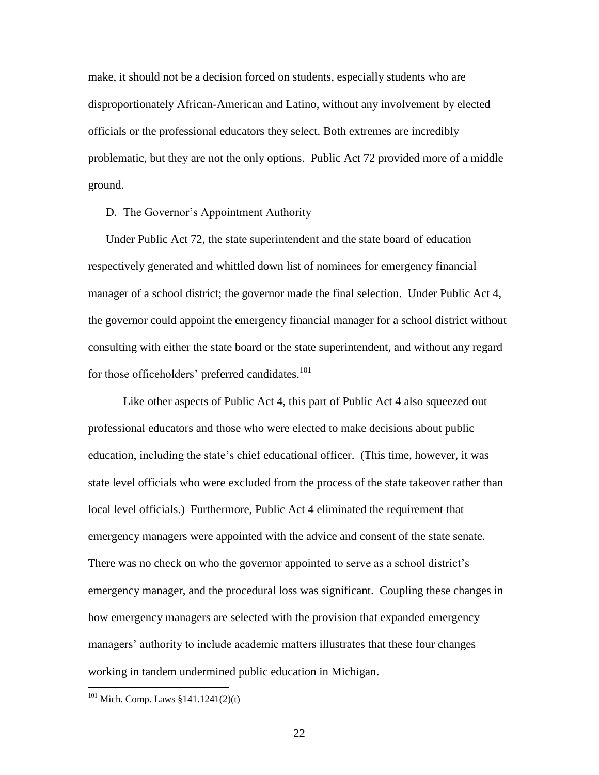make, it should not be a decision forced on students, especially students who are disproportionately African-American and Latino, without any involvement by elected officials or the professional educators they select. Both extremes are incredibly problematic, but they are not the only options. Public Act 72 provided more of a middle ground.

D. The Governor's Appointment Authority

Under Public Act 72, the state superintendent and the state board of education respectively generated and whittled down list of nominees for emergency financial manager of a school district; the governor made the final selection. Under Public Act 4, the governor could appoint the emergency financial manager for a school district without consulting with either the state board or the state superintendent, and without any regard for those officeholders' preferred candidates.<sup>101</sup>

Like other aspects of Public Act 4, this part of Public Act 4 also squeezed out professional educators and those who were elected to make decisions about public education, including the state's chief educational officer. (This time, however, it was state level officials who were excluded from the process of the state takeover rather than local level officials.) Furthermore, Public Act 4 eliminated the requirement that emergency managers were appointed with the advice and consent of the state senate. There was no check on who the governor appointed to serve as a school district's emergency manager, and the procedural loss was significant. Coupling these changes in how emergency managers are selected with the provision that expanded emergency managers' authority to include academic matters illustrates that these four changes working in tandem undermined public education in Michigan.

 $101$  Mich. Comp. Laws §141.1241(2)(t)